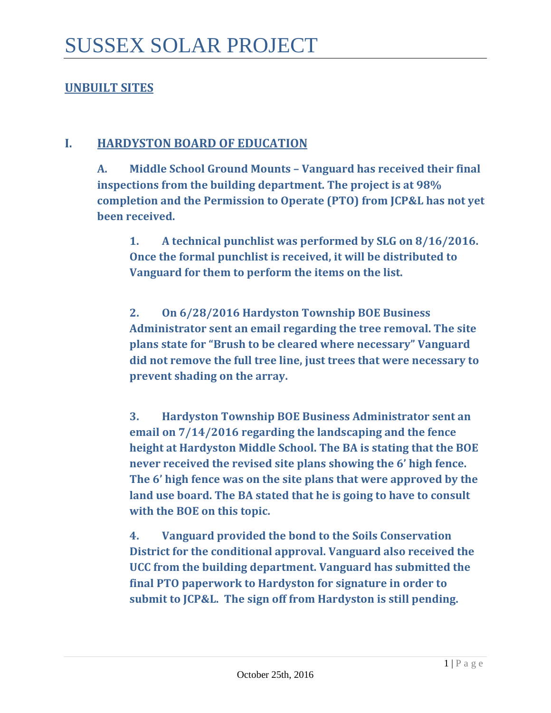## **UNBUILT SITES**

### **I. HARDYSTON BOARD OF EDUCATION**

**A. Middle School Ground Mounts – Vanguard has received their final inspections from the building department. The project is at 98% completion and the Permission to Operate (PTO) from JCP&L has not yet been received.** 

**1. A technical punchlist was performed by SLG on 8/16/2016. Once the formal punchlist is received, it will be distributed to Vanguard for them to perform the items on the list.** 

**2. On 6/28/2016 Hardyston Township BOE Business Administrator sent an email regarding the tree removal. The site plans state for "Brush to be cleared where necessary" Vanguard did not remove the full tree line, just trees that were necessary to prevent shading on the array.** 

**3. Hardyston Township BOE Business Administrator sent an email on 7/14/2016 regarding the landscaping and the fence height at Hardyston Middle School. The BA is stating that the BOE never received the revised site plans showing the 6' high fence. The 6' high fence was on the site plans that were approved by the land use board. The BA stated that he is going to have to consult with the BOE on this topic.** 

**4. Vanguard provided the bond to the Soils Conservation District for the conditional approval. Vanguard also received the UCC from the building department. Vanguard has submitted the final PTO paperwork to Hardyston for signature in order to submit to JCP&L. The sign off from Hardyston is still pending.**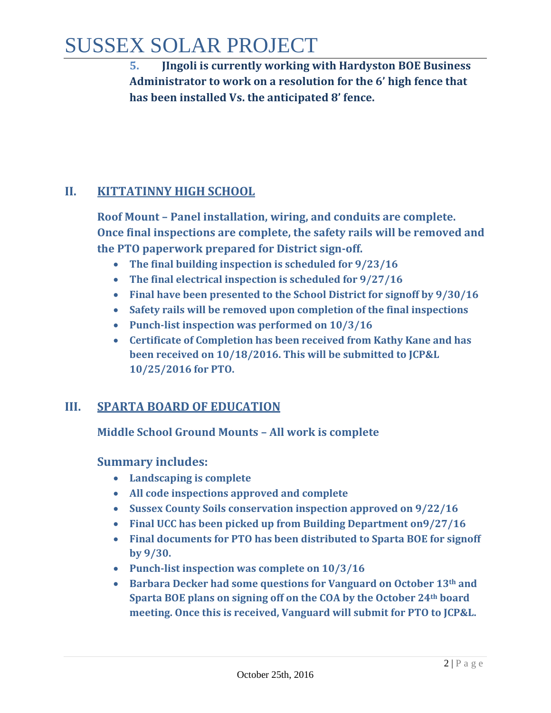# SUSSEX SOLAR PROJECT

**5. JIngoli is currently working with Hardyston BOE Business Administrator to work on a resolution for the 6' high fence that has been installed Vs. the anticipated 8' fence.** 

## **II. KITTATINNY HIGH SCHOOL**

**Roof Mount – Panel installation, wiring, and conduits are complete. Once final inspections are complete, the safety rails will be removed and the PTO paperwork prepared for District sign-off.**

- **The final building inspection is scheduled for 9/23/16**
- **The final electrical inspection is scheduled for 9/27/16**
- **Final have been presented to the School District for signoff by 9/30/16**
- **Safety rails will be removed upon completion of the final inspections**
- **Punch-list inspection was performed on 10/3/16**
- **Certificate of Completion has been received from Kathy Kane and has been received on 10/18/2016. This will be submitted to JCP&L 10/25/2016 for PTO.**

### **III. SPARTA BOARD OF EDUCATION**

**Middle School Ground Mounts – All work is complete**

### **Summary includes:**

- **Landscaping is complete**
- **All code inspections approved and complete**
- **Sussex County Soils conservation inspection approved on 9/22/16**
- **Final UCC has been picked up from Building Department on9/27/16**
- **Final documents for PTO has been distributed to Sparta BOE for signoff by 9/30.**
- **Punch-list inspection was complete on 10/3/16**
- **Barbara Decker had some questions for Vanguard on October 13th and Sparta BOE plans on signing off on the COA by the October 24th board meeting. Once this is received, Vanguard will submit for PTO to JCP&L.**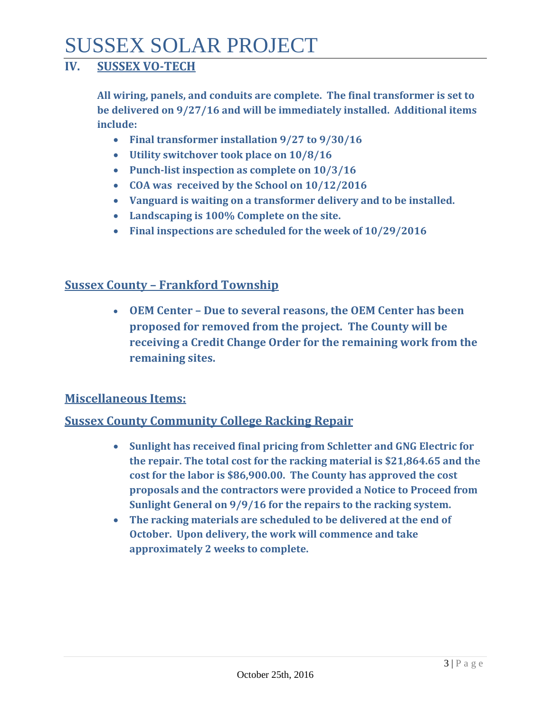# SUSSEX SOLAR PROJECT

## **IV. SUSSEX VO-TECH**

**All wiring, panels, and conduits are complete. The final transformer is set to be delivered on 9/27/16 and will be immediately installed. Additional items include:**

- **Final transformer installation 9/27 to 9/30/16**
- **Utility switchover took place on 10/8/16**
- **Punch-list inspection as complete on 10/3/16**
- **COA was received by the School on 10/12/2016**
- **Vanguard is waiting on a transformer delivery and to be installed.**
- **Landscaping is 100% Complete on the site.**
- **Final inspections are scheduled for the week of 10/29/2016**

## **Sussex County – Frankford Township**

• **OEM Center – Due to several reasons, the OEM Center has been proposed for removed from the project. The County will be receiving a Credit Change Order for the remaining work from the remaining sites.**

#### **Miscellaneous Items:**

#### **Sussex County Community College Racking Repair**

- **Sunlight has received final pricing from Schletter and GNG Electric for the repair. The total cost for the racking material is \$21,864.65 and the cost for the labor is \$86,900.00. The County has approved the cost proposals and the contractors were provided a Notice to Proceed from Sunlight General on 9/9/16 for the repairs to the racking system.**
- **The racking materials are scheduled to be delivered at the end of October. Upon delivery, the work will commence and take approximately 2 weeks to complete.**